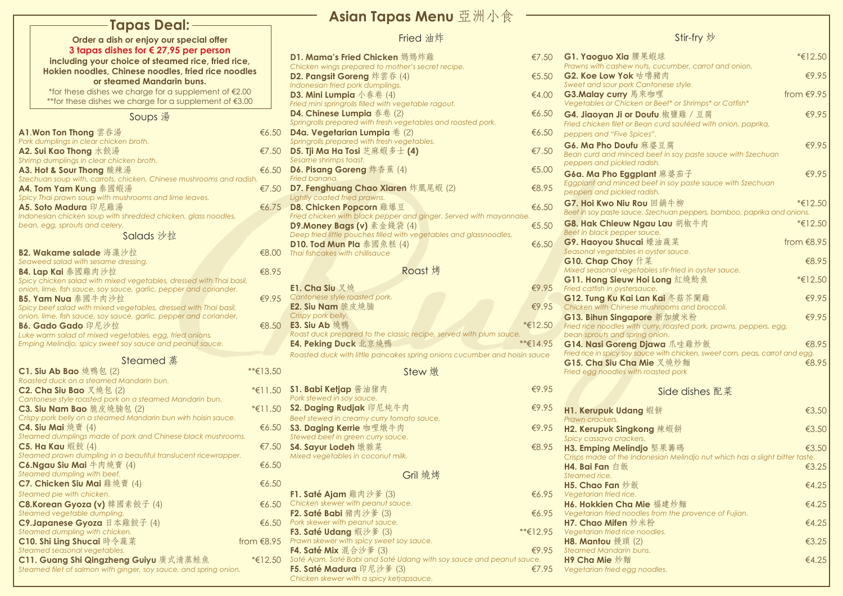| G1. Yaoguo Xia 腰果蝦球                                                                                                                                                                                                                                                                                                 | *€12.50      |
|---------------------------------------------------------------------------------------------------------------------------------------------------------------------------------------------------------------------------------------------------------------------------------------------------------------------|--------------|
| Prawns with cashew nuts, cucumber, carrot and onion.<br>G2. Koe Low Yok 咕嚕豬肉                                                                                                                                                                                                                                        | €9.95        |
| Sweet and sour pork Cantonese style.                                                                                                                                                                                                                                                                                |              |
| G3.Malay curry 馬來咖哩                                                                                                                                                                                                                                                                                                 | from $€9.95$ |
| Vegetables or Chicken or Beef* or Shrimps* or Catfish*                                                                                                                                                                                                                                                              |              |
| G4. Jiaoyan Ji or Doufu 椒鹽雞 / 豆腐                                                                                                                                                                                                                                                                                    | €9.95        |
| Fried chicken filet or Bean curd sautéed with onion, paprika,                                                                                                                                                                                                                                                       |              |
| peppers and "Five Spices".                                                                                                                                                                                                                                                                                          |              |
| G6. Ma Pho Doufu 麻婆豆腐                                                                                                                                                                                                                                                                                               | €9.95        |
| Bean curd and minced beef in soy paste sauce with Szechuan                                                                                                                                                                                                                                                          |              |
| peppers and pickled radish.                                                                                                                                                                                                                                                                                         |              |
| G6a. Ma Pho Eggplant 麻婆茄子                                                                                                                                                                                                                                                                                           | €9.95        |
| Eggplant and minced beef in soy paste sauce with Szechuan                                                                                                                                                                                                                                                           |              |
| peppers and pickled radish.                                                                                                                                                                                                                                                                                         |              |
| G7. Hoi Kwo Niu Rou 回鍋牛柳                                                                                                                                                                                                                                                                                            | $*€12.50$    |
| Beef in soy paste sauce, Szechuan peppers, bamboo, paprika and onions.                                                                                                                                                                                                                                              |              |
| G8. Hak Chieuw Ngau Lau 胡椒牛肉                                                                                                                                                                                                                                                                                        | *€12.50      |
| Beef in black pepper sauce.                                                                                                                                                                                                                                                                                         |              |
| G9. Haoyou Shucai 蠔油蔬菜                                                                                                                                                                                                                                                                                              | from $€8.95$ |
| Seasonal vegetables in oyster sauce.                                                                                                                                                                                                                                                                                |              |
| G10. Chap Choy 什菜                                                                                                                                                                                                                                                                                                   | €8.95        |
| Mixed seasonal vegetables stir-fried in oyster sauce.                                                                                                                                                                                                                                                               |              |
| G11. Hong Sieuw Hoi Long 紅燒鯰魚                                                                                                                                                                                                                                                                                       | *€12.50      |
| Fried catfish in oystersauce.                                                                                                                                                                                                                                                                                       |              |
| G12. Tung Ku Kai Lan Kai 冬菇芥闌雞                                                                                                                                                                                                                                                                                      | €9.95        |
| Chicken with Chinese mushrooms and broccoli.                                                                                                                                                                                                                                                                        |              |
| G13. Bihun Singapore 新加坡米粉                                                                                                                                                                                                                                                                                          | €9.95        |
| Fried rice noodles with curry, roasted pork, prawns, peppers, egg,                                                                                                                                                                                                                                                  |              |
| bean sprouts and spring onion.                                                                                                                                                                                                                                                                                      | €8.95        |
| G14. Nasi Goreng Djawa 爪哇雞炒飯<br>Fried rice in spicy soy sauce with chicken, sweet corn, peas, carrot and egg.                                                                                                                                                                                                       |              |
| G15. Cha Siu Cha Mie 叉燒炒麵                                                                                                                                                                                                                                                                                           | €8.95        |
| Fried egg noodles with roasted pork                                                                                                                                                                                                                                                                                 |              |
|                                                                                                                                                                                                                                                                                                                     |              |
| Side dishes 配菜                                                                                                                                                                                                                                                                                                      |              |
| $\frac{1}{2}$ $\frac{1}{2}$ $\frac{1}{2}$ $\frac{1}{2}$ $\frac{1}{2}$ $\frac{1}{2}$ $\frac{1}{2}$ $\frac{1}{2}$ $\frac{1}{2}$ $\frac{1}{2}$ $\frac{1}{2}$ $\frac{1}{2}$ $\frac{1}{2}$ $\frac{1}{2}$ $\frac{1}{2}$ $\frac{1}{2}$ $\frac{1}{2}$ $\frac{1}{2}$ $\frac{1}{2}$ $\frac{1}{2}$ $\frac{1}{2}$ $\frac{1}{2}$ | $  -$        |

|                                                                                                           |              | Asian Tapas Menu 亞洲小食                                                                          |                |                                                         |
|-----------------------------------------------------------------------------------------------------------|--------------|------------------------------------------------------------------------------------------------|----------------|---------------------------------------------------------|
| -Tapas Deal: -                                                                                            |              |                                                                                                |                |                                                         |
| Order a dish or enjoy our special offer                                                                   |              | Fried 油炸                                                                                       |                |                                                         |
| 3 tapas dishes for $\epsilon$ 27,95 per person                                                            |              | D1. Mama's Fried Chicken 媽媽炸雞                                                                  | €7.50          | G1. Yaoguo Xia 腰界                                       |
| including your choice of steamed rice, fried rice,<br>Hokien noodles, Chinese noodles, fried rice noodles |              | Chicken wings prepared to mother's secret recipe.                                              |                | Prawns with cashew nut                                  |
| or steamed Mandarin buns.                                                                                 |              | D2. Pangsit Goreng 炸雲吞 (4)                                                                     | € $5.50$       | G2. Koe Low Yok 咕                                       |
| *for these dishes we charge for a supplement of $£2.00$                                                   |              | Indonesian fried pork dumplings.                                                               |                | Sweet and sour pork Cc                                  |
| ** for these dishes we charge for a supplement of $\epsilon$ 3.00                                         |              | D3. Mini Lumpia $\sqrt{k}$ 卷 (4)<br>Fried mini springrolls filled with vegetable ragout.       | €4.00          | G3.Malay curry 馬來<br><b>Vegetables or Chicken</b>       |
|                                                                                                           |              | <b>D4. Chinese Lumpia</b> 春卷 (2)                                                               | €6.50          | G4. Jiaoyan Ji or Dc                                    |
| Soups 湯                                                                                                   |              | Springrolls prepared with fresh vegetables and roasted pork.                                   |                | Fried chicken filet or Bed                              |
| A1.Won Ton Thong 雲吞湯                                                                                      | €6.50        | <b>D4a. Vegetarian Lumpia</b> $\&$ (2)                                                         | €6.50          | peppers and "Five Spice                                 |
| Pork dumplings in clear chicken broth.                                                                    |              | Springrolls prepared with fresh vegetables.                                                    |                | G6. Ma Pho Doufu 用                                      |
| A2. Sui Kao Thong 水餃湯<br>Shrimp dumplings in clear chicken broth.                                         | €7.50        | <b>D5. Tji Ma Ha Tosi</b> 芝麻蝦多士 (4)<br>Sesame shrimps toast.                                   | €7.50          | <b>Bean curd and minced</b>                             |
| A3. Hot & Sour Thong 酸辣湯                                                                                  | €6.50        | D6. Pisang Goreng 炸香蕉 (4)                                                                      | € $5.00$       | peppers and pickled ra                                  |
| Szechuan soup with, carrots, chicken, Chinese mushrooms and radish.                                       |              | Fried banana.                                                                                  |                | G6a. Ma Pho Eggplo                                      |
| A4. Tom Yam Kung 泰國蝦湯                                                                                     | €7.50        | D7. Fenghuang Chao Xiaren 炸凰尾蝦 (2)                                                             | €8.95          | Eggplant and minced b<br>peppers and pickled ra         |
| Spicy Thai prawn soup with mushrooms and lime leaves.                                                     |              | Lightly coated fried prawns.                                                                   |                | <b>G7. Hoi Kwo Niu Rou</b>                              |
| A5. Soto Madura 印尼雞湯                                                                                      | € $6.75$     | D8. Chicken Popcorn 雞爆豆<br>Fried chicken with black pepper and ginger. Served with mayonnaise. | €6.50          | Beef in soy paste sauce,                                |
| Indonesian chicken soup with shredded chicken, glass noodles,<br>bean, egg, sprouts and celery.           |              | <b>D9.Money Bags (v)</b> 素金錢袋 (4)                                                              | €5.50          | <b>G8. Hak Chieuw Ng</b>                                |
| Salads 沙拉                                                                                                 |              | Deep fried little pouches filled with vegetables and glassnoodles.                             |                | Beef in black pepper sa                                 |
|                                                                                                           |              | <b>D10. Tod Mun Pla</b> 泰國魚糕 (4)                                                               | € $6.50$       | <b>G9. Haoyou Shucai</b>                                |
| B2. Wakame salade 海藻沙拉                                                                                    | €8.00        | Thai fishcakes with chillisauce                                                                |                | Seasonal vegetables in                                  |
| Seaweed salad with sesame dressing.<br>B4. Lap Kai 泰國雞肉沙拉                                                 | €8.95        | Roast 烤                                                                                        |                | G10. Chap Choy 什<br>Mixed seasonal vegetal              |
| Spicy chicken salad with mixed vegetables, dressed with Thai basil,                                       |              |                                                                                                |                | <b>G11. Hong Sieuw Ho</b>                               |
| onion, lime, fish sauce, soy sauce, garlic, pepper and coriander.                                         |              | <b>E1. Cha Siu</b> 叉燒                                                                          | €9.95          | Fried catfish in oystersau                              |
| B5. Yam Nua 泰國牛肉沙拉                                                                                        | €9.95        | Cantonese style roasted pork.                                                                  |                | <b>G12. Tung Ku Kai La</b>                              |
| Spicy beef salad with mixed vegetables, dressed with Thai basil,                                          |              | E2. Siu Nam 脆皮燒腩<br>Crispy pork belly.                                                         | €9.95          | Chicken with Chinese m                                  |
| onion, lime, fish sauce, soy sauce, garlic, pepper and coriander.<br>B6. Gado Gado 印尼沙拉                   |              | €8.50 <b>E3. Siu Ab</b> 燒鴨                                                                     | $*€12.50$      | <b>G13. Bihun Singapor</b><br>Fried rice noodles with a |
| Luke warm salad of mixed vegetables, egg, fried onions,                                                   |              | Roast duck prepared to the classic recipe, served with plum sauce.                             |                | bean sprouts and spring                                 |
| Emping Melindjo, spicy sweet soy sauce and peanut sauce.                                                  |              | E4. Peking Duck 北京燒鴨                                                                           | $*$ $*$ €14.95 | <b>G14. Nasi Goreng D</b>                               |
| Steamed 蒸                                                                                                 |              | Roasted duck with little pancakes spring onions cucumber and hoisin sauce                      |                | Fried rice in spicy soy sau                             |
| C1. Siu Ab Bao 燒鴨包 (2)                                                                                    | **€13.50     | Stew 燉                                                                                         |                | G15. Cha Siu Cha N<br>Fried egg noodles with I          |
| Roasted duck on a steamed Mandarin bun.                                                                   |              |                                                                                                |                |                                                         |
| C2. Cha Siu Bao 又燒包 (2)                                                                                   | $*€11.50$    | S1. Babi Ketjap 酱油猪肉                                                                           | €9.95          |                                                         |
| Cantonese style roasted pork on a steamed Mandarin bun.                                                   |              | Pork stewed in soy sauce.                                                                      |                |                                                         |
| C3. Siu Nam Bao 脆皮燒腩包 (2)                                                                                 | $*€11.50$    | S2. Daging Rudjak 印尼炖牛肉                                                                        | €9.95          | <b>H1. Kerupuk Udang</b>                                |
| Crispy pork belly on a steamed Mandarin bun wirh hoisin sauce.<br><b>C4. Siu Mai</b> 燒賣 (4)               |              | Beef stewed in creamy curry tomato sauce.<br>€6.50 S3. Daging Kerrie 咖哩燉牛肉                     | €9.95          | Prawn crackers.                                         |
| Steamed dumplings made of pork and Chinese black mushrooms.                                               |              | Stewed beef in green curry sauce.                                                              |                | <b>H2. Kerupuk Singkor</b><br>Spicy cassava crackers.   |
| C5. Ha Kau 蝦餃 $(4)$                                                                                       | €7.50        | <b>S4. Sayur Lodeh</b> 燉雜菜                                                                     | € $8.95$       | <b>H3. Emping Melindjo</b>                              |
| Steamed prawn dumpling in a beautiful translucent ricewrapper.                                            |              | Mixed vegetables in coconut milk.                                                              |                | Crisps made of the Indo                                 |
| C6.Ngau Siu Mai 牛肉燒賣 (4)                                                                                  | €6.50        |                                                                                                |                | H4. Bai Fan 白飯                                          |
| Steamed dumpling with beef.<br>C7. Chicken Siu Mai 雞燒賣 (4)                                                | €6.50        | Gril 燒烤                                                                                        |                | Steamed rice.                                           |
| Steamed pie with chicken.                                                                                 |              | <b>F1. Saté Ajam</b> 雞肉沙爹 (3)                                                                  | €6.95          | <b>H5. Chao Fan</b> 炒飯<br>Vegetarian fried rice.        |
| C8.Korean Gyoza (v) 韓國素餃子 (4)                                                                             | €6.50        | Chicken skewer with peanut sauce.                                                              |                | <b>H6. Hokkien Cha Mi</b>                               |
| Steamed vegetable dumpling.                                                                               |              | <b>F2. Saté Babi</b> 豬肉沙爹 (3)                                                                  | €6.95          | Vegetarian fried noodle                                 |
| C9.Japanese Gyoza 日本雞餃子 (4)                                                                               | €6.50        | Pork skewer with peanut sauce.                                                                 |                | H7. Chao Mifen 炒米                                       |
| Steamed dumpling with chicken.                                                                            |              | <b>F3. Saté Udang 蝦沙爹 (3)</b>                                                                  | $*$ €12.95     | Vegetarian fried rice no                                |
| C10. Shi Ling Shucai 時令蔬菜<br>Steamed seasonal vegetables.                                                 | from $€8.95$ | Prawn skewer with spicy sweet soy sauce.<br><b>F4. Saté Mix</b> 混合沙爹 (3)                       | €9.95          | H8. Mantou 饅頭 $(2)$<br><b>Steamed Mandarin bur</b>      |
| C11. Guang Shi Qingzheng Guiyu 廣式清蒸鮭魚                                                                     | *€12,50      | Saté Ajam, Saté Babi and Saté Udang with soy sauce and peanut sauce.                           |                | H9 Cha Mie 炒麵                                           |
| Steamed filet of salmon with ginger, soy sauce, and spring onion.                                         |              | <b>F5. Saté Madura</b> 印尼沙爹 (3)                                                                | €7.95          | Vegetarian fried egg no                                 |
|                                                                                                           |              | Chicken skewer with a spicy ketjapsauce.                                                       |                |                                                         |

## Stir-fry 炒

| H1. Kerupuk Udang 蝦餅                                                        | €3.50 |
|-----------------------------------------------------------------------------|-------|
| Prawn crackers.                                                             |       |
| H2. Kerupuk Singkong 辣蝦餅                                                    | €3.50 |
| Spicy cassava crackers.                                                     |       |
| H3. Emping Melindjo 堅果籌碼                                                    | €3.50 |
| Crisps made of the Indonesian Melindjo nut which has a slight bitter taste. |       |
| H4. Bai Fan 白飯                                                              | €3.25 |
| Steamed rice.                                                               |       |
| H5. Chao Fan 炒飯                                                             | €4.25 |
| Vegetarian fried rice.                                                      |       |
| H6. Hokkien Cha Mie 福建炒麵                                                    | €4.25 |
| Vegetarian fried noodles from the provence of Fujian.                       |       |
| H7. Chao Mifen 炒米粉                                                          | €4.25 |
| Vegetarian fried rice noodles.                                              |       |
| H8. Mantou 饅頭 (2)                                                           | €3.25 |
| Steamed Mandarin buns.                                                      |       |
| H9 Cha Mie 炒麵                                                               | €4.25 |
| Vegetarian fried egg noodles.                                               |       |
|                                                                             |       |